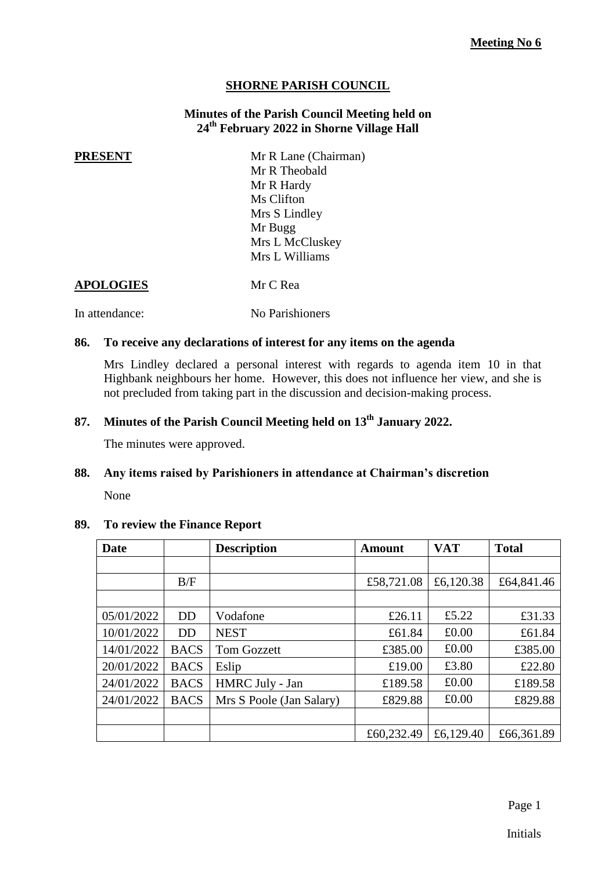#### **SHORNE PARISH COUNCIL**

#### **Minutes of the Parish Council Meeting held on 24th February 2022 in Shorne Village Hall**

**PRESENT** Mr R Lane (Chairman) Mr R Theobald Mr R Hardy Ms Clifton Mrs S Lindley Mr Bugg Mrs L McCluskey Mrs L Williams

#### **APOLOGIES** Mr C Rea

In attendance: No Parishioners

#### **86. To receive any declarations of interest for any items on the agenda**

Mrs Lindley declared a personal interest with regards to agenda item 10 in that Highbank neighbours her home. However, this does not influence her view, and she is not precluded from taking part in the discussion and decision-making process.

### **87. Minutes of the Parish Council Meeting held on 13th January 2022.**

The minutes were approved.

#### **88. Any items raised by Parishioners in attendance at Chairman's discretion**

None

#### **89. To review the Finance Report**

| Date       | <b>Description</b> |                          | <b>Amount</b> | <b>VAT</b> | <b>Total</b> |
|------------|--------------------|--------------------------|---------------|------------|--------------|
|            |                    |                          |               |            |              |
|            | B/F                |                          | £58,721.08    | £6,120.38  | £64,841.46   |
|            |                    |                          |               |            |              |
| 05/01/2022 | <b>DD</b>          | Vodafone                 | £26.11        | £5.22      | £31.33       |
| 10/01/2022 | DD                 | <b>NEST</b>              | £61.84        | £0.00      | £61.84       |
| 14/01/2022 | <b>BACS</b>        | <b>Tom Gozzett</b>       | £385.00       | £0.00      | £385.00      |
| 20/01/2022 | <b>BACS</b>        | Eslip                    | £19.00        | £3.80      | £22.80       |
| 24/01/2022 | <b>BACS</b>        | HMRC July - Jan          | £189.58       | £0.00      | £189.58      |
| 24/01/2022 | <b>BACS</b>        | Mrs S Poole (Jan Salary) | £829.88       | £0.00      | £829.88      |
|            |                    |                          |               |            |              |
|            |                    |                          | £60,232.49    | £6,129.40  | £66,361.89   |

Page 1

Initials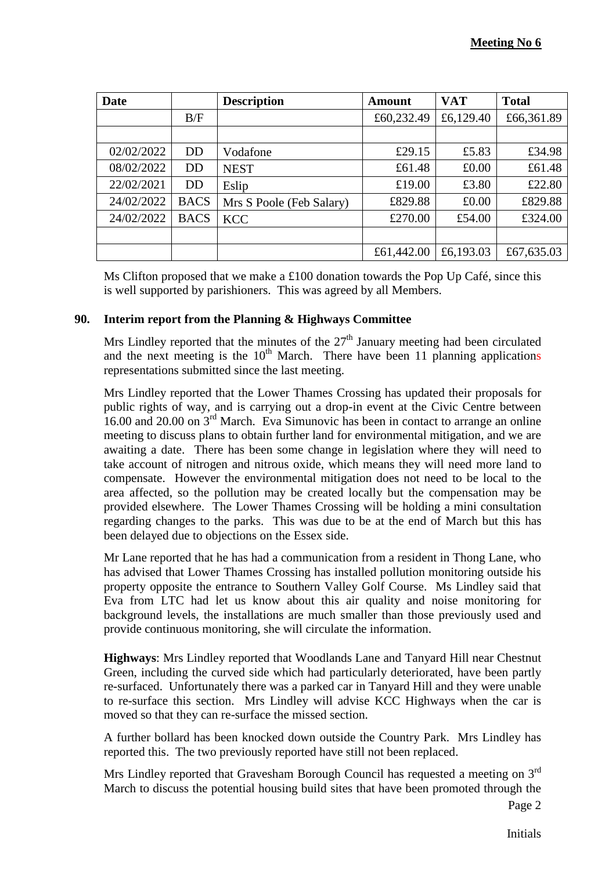| Date       |                | <b>Description</b>       | <b>Amount</b> | <b>VAT</b> | <b>Total</b> |
|------------|----------------|--------------------------|---------------|------------|--------------|
|            | B/F            |                          | £60,232.49    | £6,129.40  | £66,361.89   |
|            |                |                          |               |            |              |
| 02/02/2022 | <b>DD</b>      | Vodafone                 | £29.15        | £5.83      | £34.98       |
| 08/02/2022 | D <sub>D</sub> | <b>NEST</b>              | £61.48        | £0.00      | £61.48       |
| 22/02/2021 | <b>DD</b>      | Eslip                    | £19.00        | £3.80      | £22.80       |
| 24/02/2022 | <b>BACS</b>    | Mrs S Poole (Feb Salary) | £829.88       | £0.00      | £829.88      |
| 24/02/2022 | <b>BACS</b>    | <b>KCC</b>               | £270.00       | £54.00     | £324.00      |
|            |                |                          |               |            |              |
|            |                |                          | £61,442.00    | £6,193.03  | £67,635.03   |

Ms Clifton proposed that we make a £100 donation towards the Pop Up Café, since this is well supported by parishioners. This was agreed by all Members.

### **90. Interim report from the Planning & Highways Committee**

Mrs Lindley reported that the minutes of the  $27<sup>th</sup>$  January meeting had been circulated and the next meeting is the  $10<sup>th</sup>$  March. There have been 11 planning applications representations submitted since the last meeting.

Mrs Lindley reported that the Lower Thames Crossing has updated their proposals for public rights of way, and is carrying out a drop-in event at the Civic Centre between 16.00 and 20.00 on 3<sup>rd</sup> March. Eva Simunovic has been in contact to arrange an online meeting to discuss plans to obtain further land for environmental mitigation, and we are awaiting a date. There has been some change in legislation where they will need to take account of nitrogen and nitrous oxide, which means they will need more land to compensate. However the environmental mitigation does not need to be local to the area affected, so the pollution may be created locally but the compensation may be provided elsewhere. The Lower Thames Crossing will be holding a mini consultation regarding changes to the parks. This was due to be at the end of March but this has been delayed due to objections on the Essex side.

Mr Lane reported that he has had a communication from a resident in Thong Lane, who has advised that Lower Thames Crossing has installed pollution monitoring outside his property opposite the entrance to Southern Valley Golf Course. Ms Lindley said that Eva from LTC had let us know about this air quality and noise monitoring for background levels, the installations are much smaller than those previously used and provide continuous monitoring, she will circulate the information.

**Highways**: Mrs Lindley reported that Woodlands Lane and Tanyard Hill near Chestnut Green, including the curved side which had particularly deteriorated, have been partly re-surfaced. Unfortunately there was a parked car in Tanyard Hill and they were unable to re-surface this section. Mrs Lindley will advise KCC Highways when the car is moved so that they can re-surface the missed section.

A further bollard has been knocked down outside the Country Park. Mrs Lindley has reported this. The two previously reported have still not been replaced.

Mrs Lindley reported that Gravesham Borough Council has requested a meeting on 3<sup>rd</sup> March to discuss the potential housing build sites that have been promoted through the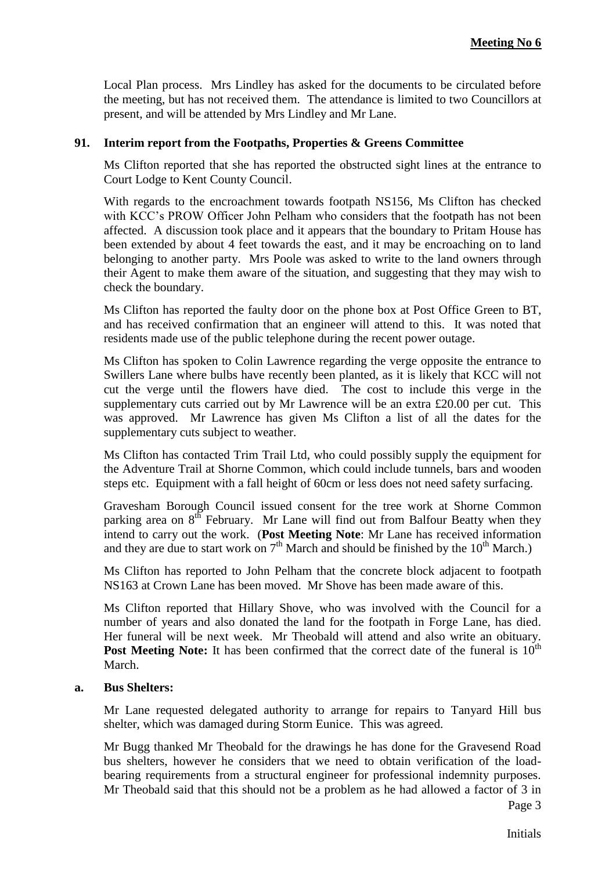Local Plan process. Mrs Lindley has asked for the documents to be circulated before the meeting, but has not received them. The attendance is limited to two Councillors at present, and will be attended by Mrs Lindley and Mr Lane.

#### **91. Interim report from the Footpaths, Properties & Greens Committee**

Ms Clifton reported that she has reported the obstructed sight lines at the entrance to Court Lodge to Kent County Council.

With regards to the encroachment towards footpath NS156, Ms Clifton has checked with KCC's PROW Officer John Pelham who considers that the footpath has not been affected. A discussion took place and it appears that the boundary to Pritam House has been extended by about 4 feet towards the east, and it may be encroaching on to land belonging to another party. Mrs Poole was asked to write to the land owners through their Agent to make them aware of the situation, and suggesting that they may wish to check the boundary.

Ms Clifton has reported the faulty door on the phone box at Post Office Green to BT, and has received confirmation that an engineer will attend to this. It was noted that residents made use of the public telephone during the recent power outage.

Ms Clifton has spoken to Colin Lawrence regarding the verge opposite the entrance to Swillers Lane where bulbs have recently been planted, as it is likely that KCC will not cut the verge until the flowers have died. The cost to include this verge in the supplementary cuts carried out by Mr Lawrence will be an extra  $\text{\pounds}20.00$  per cut. This was approved. Mr Lawrence has given Ms Clifton a list of all the dates for the supplementary cuts subject to weather.

Ms Clifton has contacted Trim Trail Ltd, who could possibly supply the equipment for the Adventure Trail at Shorne Common, which could include tunnels, bars and wooden steps etc. Equipment with a fall height of 60cm or less does not need safety surfacing.

Gravesham Borough Council issued consent for the tree work at Shorne Common parking area on 8<sup>th</sup> February. Mr Lane will find out from Balfour Beatty when they intend to carry out the work. (**Post Meeting Note**: Mr Lane has received information and they are due to start work on  $7<sup>th</sup>$  March and should be finished by the  $10<sup>th</sup>$  March.)

Ms Clifton has reported to John Pelham that the concrete block adjacent to footpath NS163 at Crown Lane has been moved. Mr Shove has been made aware of this.

Ms Clifton reported that Hillary Shove, who was involved with the Council for a number of years and also donated the land for the footpath in Forge Lane, has died. Her funeral will be next week. Mr Theobald will attend and also write an obituary. **Post Meeting Note:** It has been confirmed that the correct date of the funeral is  $10<sup>th</sup>$ March.

#### **a. Bus Shelters:**

Mr Lane requested delegated authority to arrange for repairs to Tanyard Hill bus shelter, which was damaged during Storm Eunice. This was agreed.

Mr Bugg thanked Mr Theobald for the drawings he has done for the Gravesend Road bus shelters, however he considers that we need to obtain verification of the loadbearing requirements from a structural engineer for professional indemnity purposes. Mr Theobald said that this should not be a problem as he had allowed a factor of 3 in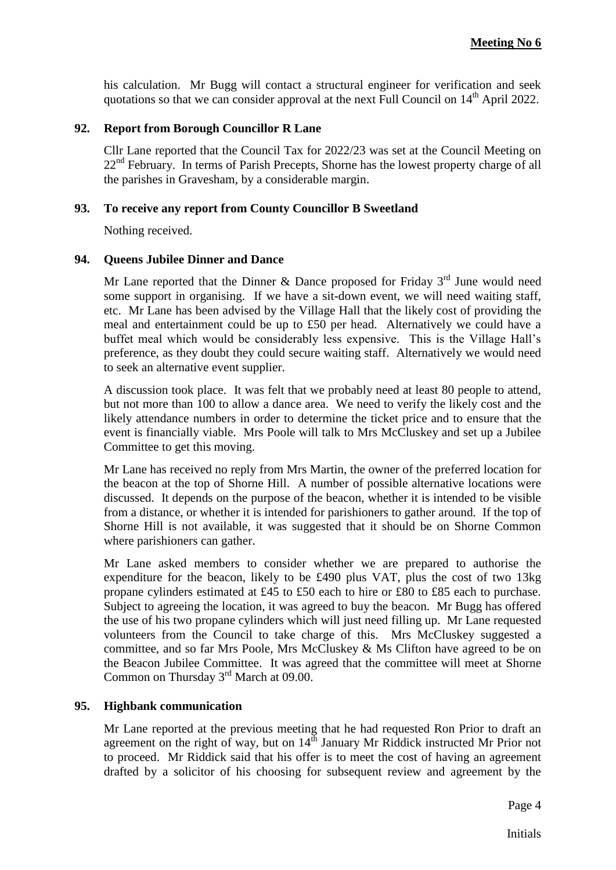his calculation. Mr Bugg will contact a structural engineer for verification and seek quotations so that we can consider approval at the next Full Council on  $14<sup>th</sup>$  April 2022.

#### **92. Report from Borough Councillor R Lane**

Cllr Lane reported that the Council Tax for 2022/23 was set at the Council Meeting on 22<sup>nd</sup> February. In terms of Parish Precepts, Shorne has the lowest property charge of all the parishes in Gravesham, by a considerable margin.

#### **93. To receive any report from County Councillor B Sweetland**

Nothing received.

#### **94. Queens Jubilee Dinner and Dance**

Mr Lane reported that the Dinner & Dance proposed for Friday  $3<sup>rd</sup>$  June would need some support in organising. If we have a sit-down event, we will need waiting staff, etc. Mr Lane has been advised by the Village Hall that the likely cost of providing the meal and entertainment could be up to £50 per head. Alternatively we could have a buffet meal which would be considerably less expensive. This is the Village Hall's preference, as they doubt they could secure waiting staff. Alternatively we would need to seek an alternative event supplier.

A discussion took place. It was felt that we probably need at least 80 people to attend, but not more than 100 to allow a dance area. We need to verify the likely cost and the likely attendance numbers in order to determine the ticket price and to ensure that the event is financially viable. Mrs Poole will talk to Mrs McCluskey and set up a Jubilee Committee to get this moving.

Mr Lane has received no reply from Mrs Martin, the owner of the preferred location for the beacon at the top of Shorne Hill. A number of possible alternative locations were discussed. It depends on the purpose of the beacon, whether it is intended to be visible from a distance, or whether it is intended for parishioners to gather around. If the top of Shorne Hill is not available, it was suggested that it should be on Shorne Common where parishioners can gather.

Mr Lane asked members to consider whether we are prepared to authorise the expenditure for the beacon, likely to be £490 plus VAT, plus the cost of two 13kg propane cylinders estimated at £45 to £50 each to hire or £80 to £85 each to purchase. Subject to agreeing the location, it was agreed to buy the beacon. Mr Bugg has offered the use of his two propane cylinders which will just need filling up. Mr Lane requested volunteers from the Council to take charge of this. Mrs McCluskey suggested a committee, and so far Mrs Poole, Mrs McCluskey & Ms Clifton have agreed to be on the Beacon Jubilee Committee. It was agreed that the committee will meet at Shorne Common on Thursday 3<sup>rd</sup> March at 09.00.

#### **95. Highbank communication**

Mr Lane reported at the previous meeting that he had requested Ron Prior to draft an agreement on the right of way, but on  $14<sup>th</sup>$  January Mr Riddick instructed Mr Prior not to proceed. Mr Riddick said that his offer is to meet the cost of having an agreement drafted by a solicitor of his choosing for subsequent review and agreement by the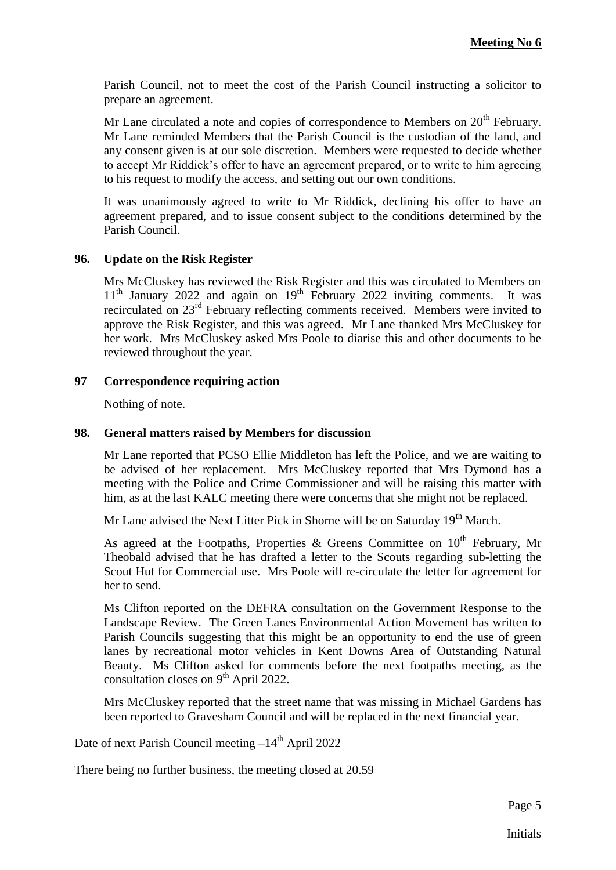Parish Council, not to meet the cost of the Parish Council instructing a solicitor to prepare an agreement.

Mr Lane circulated a note and copies of correspondence to Members on  $20<sup>th</sup>$  February. Mr Lane reminded Members that the Parish Council is the custodian of the land, and any consent given is at our sole discretion. Members were requested to decide whether to accept Mr Riddick's offer to have an agreement prepared, or to write to him agreeing to his request to modify the access, and setting out our own conditions.

It was unanimously agreed to write to Mr Riddick, declining his offer to have an agreement prepared, and to issue consent subject to the conditions determined by the Parish Council.

### **96. Update on the Risk Register**

Mrs McCluskey has reviewed the Risk Register and this was circulated to Members on  $11<sup>th</sup>$  January 2022 and again on  $19<sup>th</sup>$  February 2022 inviting comments. It was recirculated on 23rd February reflecting comments received. Members were invited to approve the Risk Register, and this was agreed. Mr Lane thanked Mrs McCluskey for her work. Mrs McCluskey asked Mrs Poole to diarise this and other documents to be reviewed throughout the year.

#### **97 Correspondence requiring action**

Nothing of note.

#### **98. General matters raised by Members for discussion**

Mr Lane reported that PCSO Ellie Middleton has left the Police, and we are waiting to be advised of her replacement. Mrs McCluskey reported that Mrs Dymond has a meeting with the Police and Crime Commissioner and will be raising this matter with him, as at the last KALC meeting there were concerns that she might not be replaced.

Mr Lane advised the Next Litter Pick in Shorne will be on Saturday 19<sup>th</sup> March.

As agreed at the Footpaths, Properties & Greens Committee on  $10^{th}$  February, Mr Theobald advised that he has drafted a letter to the Scouts regarding sub-letting the Scout Hut for Commercial use. Mrs Poole will re-circulate the letter for agreement for her to send.

Ms Clifton reported on the DEFRA consultation on the Government Response to the Landscape Review. The Green Lanes Environmental Action Movement has written to Parish Councils suggesting that this might be an opportunity to end the use of green lanes by recreational motor vehicles in Kent Downs Area of Outstanding Natural Beauty. Ms Clifton asked for comments before the next footpaths meeting, as the consultation closes on 9<sup>th</sup> April 2022.

Mrs McCluskey reported that the street name that was missing in Michael Gardens has been reported to Gravesham Council and will be replaced in the next financial year.

Date of next Parish Council meeting  $-14<sup>th</sup>$  April 2022

There being no further business, the meeting closed at 20.59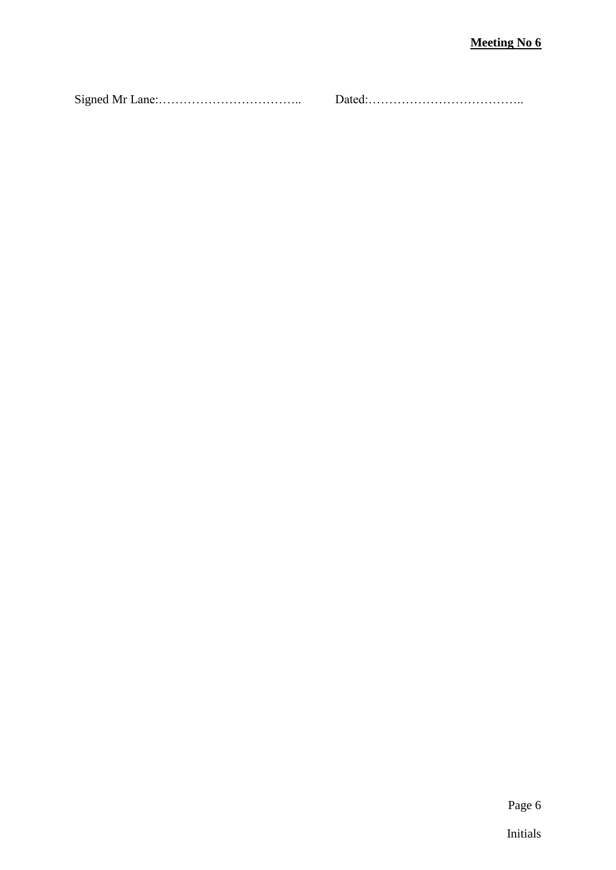Signed Mr Lane:…………………………….. Dated:………………………………..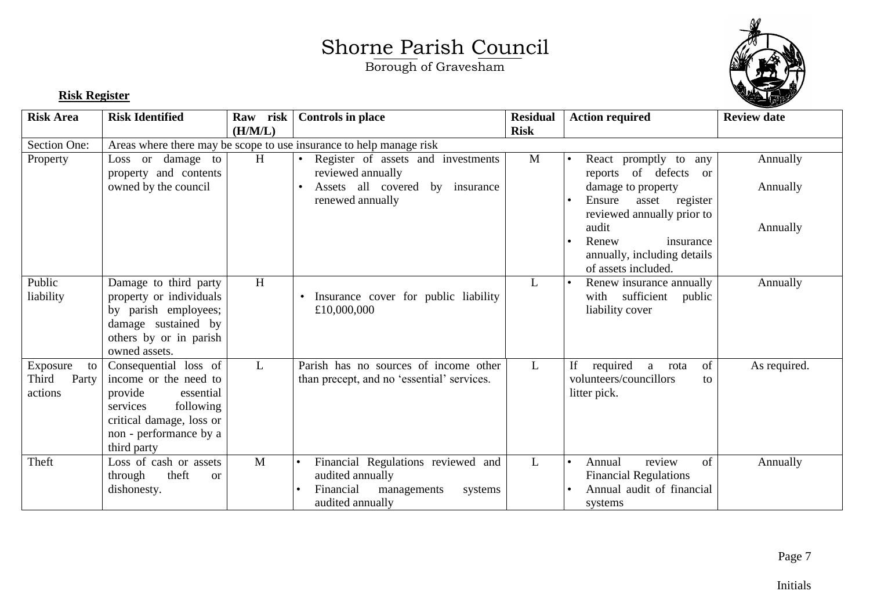Borough of Gravesham



### **Risk Register**

| <b>Risk Area</b>                            | <b>Risk Identified</b>                                                                                                                                               | Raw risk<br>(H/M/L) | <b>Controls in place</b>                                                                                                                    | <b>Residual</b><br><b>Risk</b> | <b>Action required</b>                                                                                                                                                                                                            | <b>Review date</b>               |
|---------------------------------------------|----------------------------------------------------------------------------------------------------------------------------------------------------------------------|---------------------|---------------------------------------------------------------------------------------------------------------------------------------------|--------------------------------|-----------------------------------------------------------------------------------------------------------------------------------------------------------------------------------------------------------------------------------|----------------------------------|
| Section One:                                |                                                                                                                                                                      |                     | Areas where there may be scope to use insurance to help manage risk                                                                         |                                |                                                                                                                                                                                                                                   |                                  |
| Property                                    | Loss or damage to<br>property and contents<br>owned by the council                                                                                                   | H                   | Register of assets and investments<br>$\bullet$<br>reviewed annually<br>Assets all covered<br>by insurance<br>$\bullet$<br>renewed annually | M                              | React promptly to any<br>reports of defects<br><sub>or</sub><br>damage to property<br>Ensure<br>asset register<br>reviewed annually prior to<br>audit<br>Renew<br>insurance<br>annually, including details<br>of assets included. | Annually<br>Annually<br>Annually |
| Public<br>liability                         | Damage to third party<br>property or individuals<br>by parish employees;<br>damage sustained by<br>others by or in parish<br>owned assets.                           | H                   | Insurance cover for public liability<br>£10,000,000                                                                                         | L                              | Renew insurance annually<br>with sufficient<br>public<br>liability cover                                                                                                                                                          | Annually                         |
| Exposure<br>to<br>Third<br>Party<br>actions | Consequential loss of<br>income or the need to<br>provide<br>essential<br>following<br>services<br>critical damage, loss or<br>non - performance by a<br>third party | L                   | Parish has no sources of income other<br>than precept, and no 'essential' services.                                                         | L                              | required<br>of<br>If<br>a<br>rota<br>volunteers/councillors<br>to<br>litter pick.                                                                                                                                                 | As required.                     |
| Theft                                       | Loss of cash or assets<br>theft<br>through<br><b>or</b><br>dishonesty.                                                                                               | M                   | Financial Regulations reviewed and<br>audited annually<br>Financial<br>managements<br>systems<br>audited annually                           | L                              | review<br>of<br>Annual<br><b>Financial Regulations</b><br>Annual audit of financial<br>systems                                                                                                                                    | Annually                         |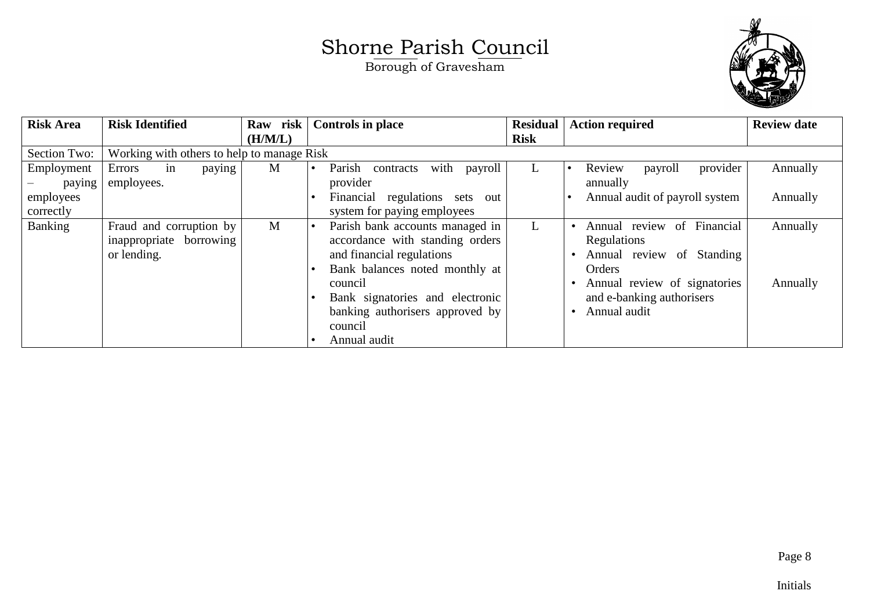

| <b>Risk Area</b> | <b>Risk Identified</b>                     | Raw risk | <b>Controls in place</b>                         | <b>Residual</b> | <b>Action required</b>                     | <b>Review date</b> |
|------------------|--------------------------------------------|----------|--------------------------------------------------|-----------------|--------------------------------------------|--------------------|
|                  |                                            | (H/M/L)  |                                                  | <b>Risk</b>     |                                            |                    |
| Section Two:     | Working with others to help to manage Risk |          |                                                  |                 |                                            |                    |
| Employment       | Errors<br>paying<br>in                     | M        | Parish<br>with payroll<br>contracts<br>$\bullet$ |                 | Review<br>provider<br>payroll              | Annually           |
| paying           | employees.                                 |          | provider                                         |                 | annually                                   |                    |
| employees        |                                            |          | regulations sets out<br>Financial                |                 | Annual audit of payroll system             | Annually           |
| correctly        |                                            |          | system for paying employees                      |                 |                                            |                    |
| Banking          | Fraud and corruption by                    | M        | Parish bank accounts managed in<br>$\bullet$     | L               | of Financial<br>Annual review<br>$\bullet$ | Annually           |
|                  | inappropriate borrowing                    |          | accordance with standing orders                  |                 | Regulations                                |                    |
|                  | or lending.                                |          | and financial regulations                        |                 | Annual review of Standing                  |                    |
|                  |                                            |          | Bank balances noted monthly at                   |                 | Orders                                     |                    |
|                  |                                            |          | council                                          |                 | Annual review of signatories               | Annually           |
|                  |                                            |          | Bank signatories and electronic                  |                 | and e-banking authorisers                  |                    |
|                  |                                            |          | banking authorisers approved by                  |                 | Annual audit                               |                    |
|                  |                                            |          | council                                          |                 |                                            |                    |
|                  |                                            |          | Annual audit                                     |                 |                                            |                    |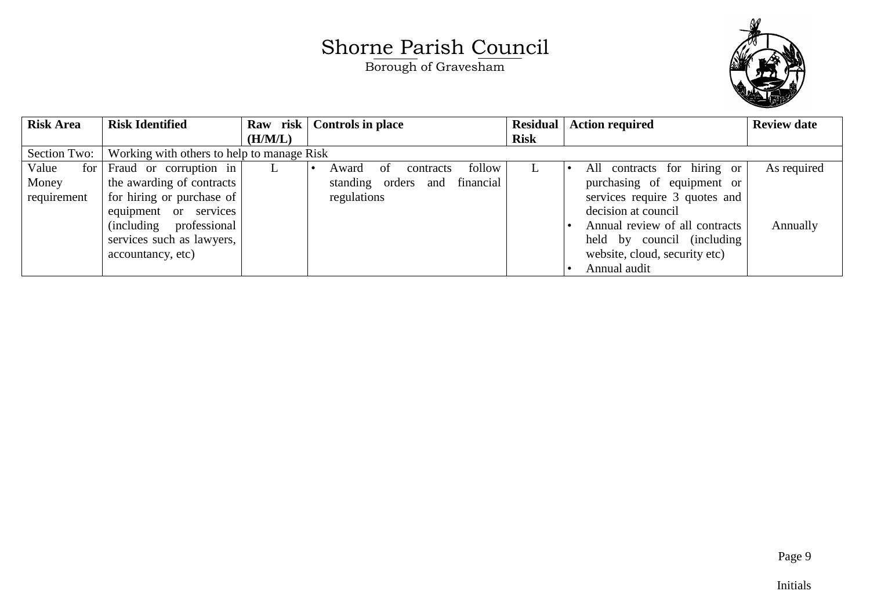

| <b>Risk Area</b> | <b>Risk Identified</b>                     | Raw risk | <b>Controls in place</b>            |             | <b>Residual</b>   Action required | <b>Review date</b> |
|------------------|--------------------------------------------|----------|-------------------------------------|-------------|-----------------------------------|--------------------|
|                  |                                            | (H/M/L)  |                                     | <b>Risk</b> |                                   |                    |
| Section Two:     | Working with others to help to manage Risk |          |                                     |             |                                   |                    |
| Value<br>for     | Fraud or corruption in                     | L.       | follow<br>contracts<br>Award<br>of  |             | contracts for hiring or<br>All    | As required        |
| Money            | the awarding of contracts                  |          | financial<br>standing orders<br>and |             | purchasing of equipment or        |                    |
| requirement      | for hiring or purchase of                  |          | regulations                         |             | services require 3 quotes and     |                    |
|                  | equipment or services                      |          |                                     |             | decision at council               |                    |
|                  | (including professional)                   |          |                                     |             | Annual review of all contracts    | Annually           |
|                  | services such as lawyers,                  |          |                                     |             | held by council (including        |                    |
|                  | accountancy, etc)                          |          |                                     |             | website, cloud, security etc)     |                    |
|                  |                                            |          |                                     |             | Annual audit                      |                    |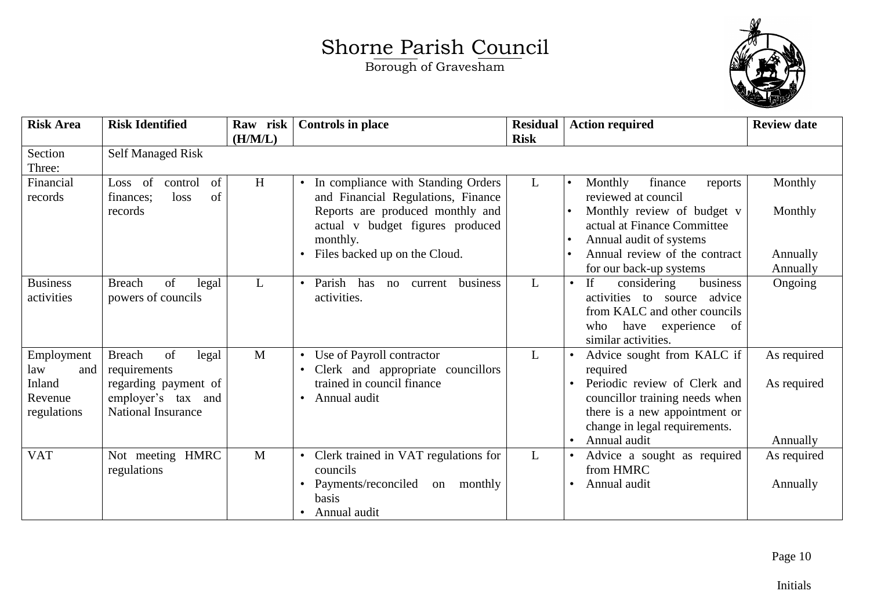Borough of Gravesham



| <b>Risk Area</b>                                             | <b>Risk Identified</b>                                                                                                  | Raw risk<br>(H/M/L) | <b>Controls in place</b>                                                                                                                                                                                   | <b>Residual</b><br><b>Risk</b> | <b>Action required</b>                                                                                                                                                                                   | <b>Review date</b>                         |
|--------------------------------------------------------------|-------------------------------------------------------------------------------------------------------------------------|---------------------|------------------------------------------------------------------------------------------------------------------------------------------------------------------------------------------------------------|--------------------------------|----------------------------------------------------------------------------------------------------------------------------------------------------------------------------------------------------------|--------------------------------------------|
| Section<br>Three:                                            | <b>Self Managed Risk</b>                                                                                                |                     |                                                                                                                                                                                                            |                                |                                                                                                                                                                                                          |                                            |
| Financial<br>records                                         | of<br>of<br>control<br>Loss<br>of<br>loss<br>finances:<br>records                                                       | H                   | In compliance with Standing Orders<br>$\bullet$<br>and Financial Regulations, Finance<br>Reports are produced monthly and<br>actual v budget figures produced<br>monthly.<br>Files backed up on the Cloud. | L                              | Monthly<br>finance<br>reports<br>reviewed at council<br>Monthly review of budget v<br>actual at Finance Committee<br>Annual audit of systems<br>Annual review of the contract<br>for our back-up systems | Monthly<br>Monthly<br>Annually<br>Annually |
| <b>Business</b><br>activities                                | <b>Breach</b><br>of<br>legal<br>powers of councils                                                                      | L                   | Parish<br>business<br>has<br>current<br>no<br>$\bullet$<br>activities.                                                                                                                                     | $\mathbf{L}$                   | business<br>If<br>considering<br>activities to source<br>advice<br>from KALC and other councils<br>have experience<br>who<br>of<br>similar activities.                                                   | Ongoing                                    |
| Employment<br>law<br>and<br>Inland<br>Revenue<br>regulations | <b>Breach</b><br>of<br>legal<br>requirements<br>regarding payment of<br>employer's tax and<br><b>National Insurance</b> | M                   | Use of Payroll contractor<br>$\bullet$<br>Clerk and appropriate councillors<br>trained in council finance<br>Annual audit<br>$\bullet$                                                                     | $\mathbf{L}$                   | Advice sought from KALC if<br>required<br>Periodic review of Clerk and<br>councillor training needs when<br>there is a new appointment or<br>change in legal requirements.<br>Annual audit               | As required<br>As required<br>Annually     |
| <b>VAT</b>                                                   | Not meeting HMRC<br>regulations                                                                                         | M                   | Clerk trained in VAT regulations for<br>$\bullet$<br>councils<br>Payments/reconciled<br>monthly<br>on<br>basis<br>Annual audit<br>$\bullet$                                                                | $\mathbf{L}$                   | Advice a sought as required<br>from HMRC<br>Annual audit                                                                                                                                                 | As required<br>Annually                    |

Page 10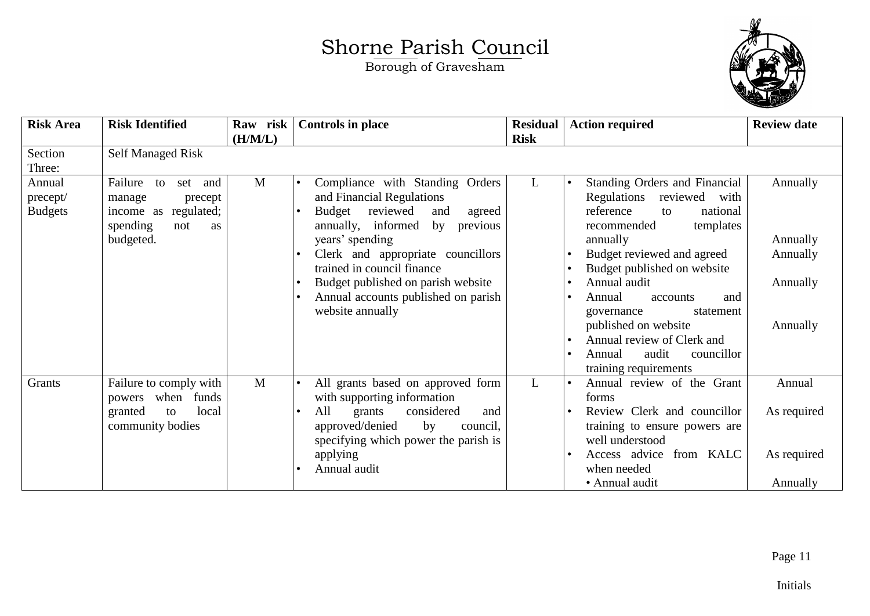

| <b>Risk Area</b>                               | <b>Risk Identified</b>                                                                                            | Raw risk<br>(H/M/L) | <b>Controls in place</b>                                                                                                                                                                                                                                                                                                                     | <b>Residual</b><br><b>Risk</b> | <b>Action required</b>                                                                                                                                                                                                                                                                                                                                                                       | <b>Review date</b>                                       |
|------------------------------------------------|-------------------------------------------------------------------------------------------------------------------|---------------------|----------------------------------------------------------------------------------------------------------------------------------------------------------------------------------------------------------------------------------------------------------------------------------------------------------------------------------------------|--------------------------------|----------------------------------------------------------------------------------------------------------------------------------------------------------------------------------------------------------------------------------------------------------------------------------------------------------------------------------------------------------------------------------------------|----------------------------------------------------------|
| Section<br>Three:                              | <b>Self Managed Risk</b>                                                                                          |                     |                                                                                                                                                                                                                                                                                                                                              |                                |                                                                                                                                                                                                                                                                                                                                                                                              |                                                          |
| Annual<br>$prec$ ept $\sqrt$<br><b>Budgets</b> | Failure<br>to<br>set<br>and<br>manage<br>precept<br>regulated;<br>income as<br>spending<br>not<br>as<br>budgeted. | $\mathbf{M}$        | Compliance with Standing Orders<br>$\bullet$<br>and Financial Regulations<br>reviewed<br>Budget<br>and<br>agreed<br>annually, informed<br>by previous<br>years' spending<br>Clerk and appropriate councillors<br>trained in council finance<br>Budget published on parish website<br>Annual accounts published on parish<br>website annually | L                              | Standing Orders and Financial<br>Regulations<br>reviewed<br>with<br>reference<br>national<br>to<br>recommended<br>templates<br>annually<br>Budget reviewed and agreed<br>Budget published on website<br>Annual audit<br>Annual<br>accounts<br>and<br>statement<br>governance<br>published on website<br>Annual review of Clerk and<br>audit<br>councillor<br>Annual<br>training requirements | Annually<br>Annually<br>Annually<br>Annually<br>Annually |
| Grants                                         | Failure to comply with<br>when<br>funds<br>powers<br>local<br>granted<br>to<br>community bodies                   | $\mathbf{M}$        | All grants based on approved form<br>with supporting information<br>All<br>considered<br>grants<br>and<br>approved/denied<br>by<br>council,<br>specifying which power the parish is<br>applying<br>Annual audit                                                                                                                              | L                              | Annual review of the Grant<br>forms<br>Review Clerk and councillor<br>training to ensure powers are<br>well understood<br>Access advice from KALC<br>when needed<br>• Annual audit                                                                                                                                                                                                           | Annual<br>As required<br>As required<br>Annually         |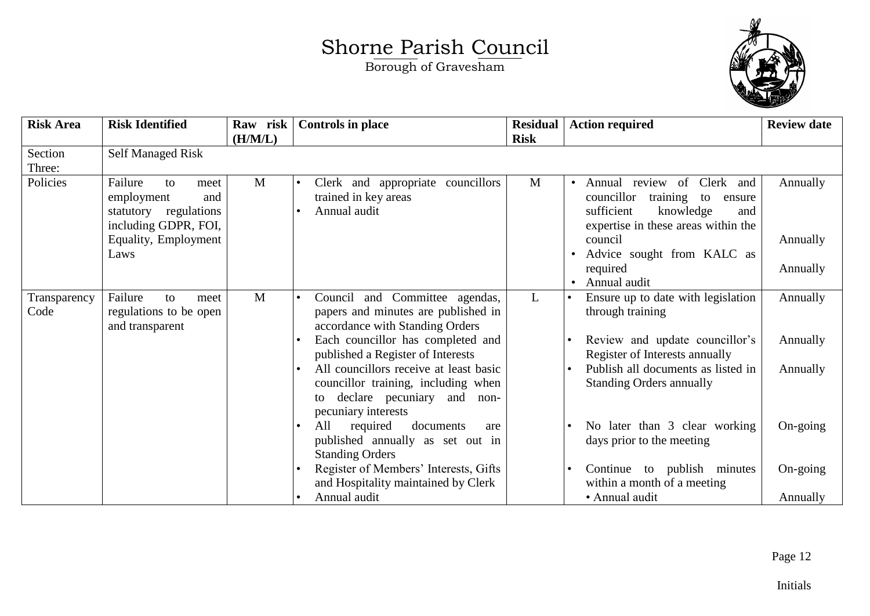Borough of Gravesham



| <b>Risk Area</b>     | <b>Risk Identified</b>                                                                                                      | Raw risk<br>(H/M/L) | <b>Controls in place</b>                                                                                                                    | <b>Residual</b><br><b>Risk</b> | <b>Action required</b>                                                                                                                                                                                                                       | <b>Review date</b>               |
|----------------------|-----------------------------------------------------------------------------------------------------------------------------|---------------------|---------------------------------------------------------------------------------------------------------------------------------------------|--------------------------------|----------------------------------------------------------------------------------------------------------------------------------------------------------------------------------------------------------------------------------------------|----------------------------------|
| Section<br>Three:    | <b>Self Managed Risk</b>                                                                                                    |                     |                                                                                                                                             |                                |                                                                                                                                                                                                                                              |                                  |
| Policies             | Failure<br>to<br>meet<br>employment<br>and<br>statutory regulations<br>including GDPR, FOI,<br>Equality, Employment<br>Laws | M                   | Clerk and appropriate councillors<br>trained in key areas<br>Annual audit                                                                   | M                              | Annual review of Clerk and<br>$\bullet$<br>councillor<br>training<br>to<br>ensure<br>sufficient<br>knowledge<br>and<br>expertise in these areas within the<br>council<br>Advice sought from KALC as<br>required<br>Annual audit<br>$\bullet$ | Annually<br>Annually<br>Annually |
| Transparency<br>Code | Failure<br>to<br>meet<br>regulations to be open<br>and transparent                                                          | M                   | Council and Committee agendas,<br>papers and minutes are published in<br>accordance with Standing Orders                                    | L                              | Ensure up to date with legislation<br>through training                                                                                                                                                                                       | Annually                         |
|                      |                                                                                                                             |                     | Each councillor has completed and<br>published a Register of Interests                                                                      |                                | Review and update councillor's<br>Register of Interests annually                                                                                                                                                                             | Annually                         |
|                      |                                                                                                                             |                     | All councillors receive at least basic<br>councillor training, including when<br>declare pecuniary and<br>non-<br>to<br>pecuniary interests |                                | Publish all documents as listed in<br><b>Standing Orders annually</b>                                                                                                                                                                        | Annually                         |
|                      |                                                                                                                             |                     | All<br>required<br>documents<br>are<br>published annually as set out in<br><b>Standing Orders</b>                                           |                                | No later than 3 clear working<br>days prior to the meeting                                                                                                                                                                                   | $On\text{-going}$                |
|                      |                                                                                                                             |                     | Register of Members' Interests, Gifts<br>and Hospitality maintained by Clerk                                                                |                                | Continue to publish minutes<br>within a month of a meeting                                                                                                                                                                                   | On-going                         |
|                      |                                                                                                                             |                     | Annual audit                                                                                                                                |                                | • Annual audit                                                                                                                                                                                                                               | Annually                         |

Page 12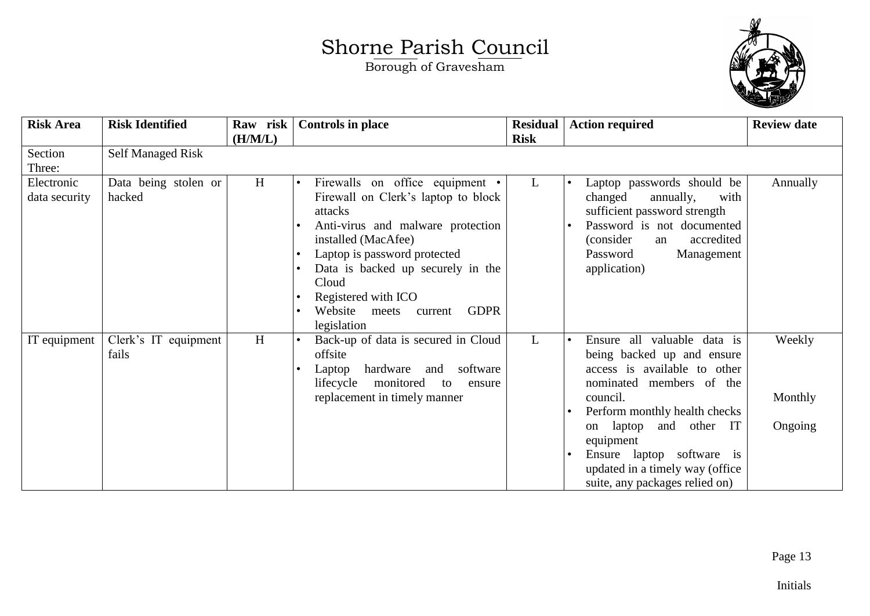

| <b>Risk Area</b>            | <b>Risk Identified</b>         | Raw risk<br>(H/M/L) | <b>Controls in place</b>                                                                                                                                                                                                                                                                                     | <b>Residual</b><br><b>Risk</b> | <b>Action required</b>                                                                                                                                                                                                                                                                                            | <b>Review date</b>           |
|-----------------------------|--------------------------------|---------------------|--------------------------------------------------------------------------------------------------------------------------------------------------------------------------------------------------------------------------------------------------------------------------------------------------------------|--------------------------------|-------------------------------------------------------------------------------------------------------------------------------------------------------------------------------------------------------------------------------------------------------------------------------------------------------------------|------------------------------|
| Section<br>Three:           | <b>Self Managed Risk</b>       |                     |                                                                                                                                                                                                                                                                                                              |                                |                                                                                                                                                                                                                                                                                                                   |                              |
| Electronic<br>data security | Data being stolen or<br>hacked | H                   | Firewalls on office equipment •<br>Firewall on Clerk's laptop to block<br>attacks<br>Anti-virus and malware protection<br>installed (MacAfee)<br>Laptop is password protected<br>Data is backed up securely in the<br>Cloud<br>Registered with ICO<br>Website meets<br><b>GDPR</b><br>current<br>legislation | L                              | Laptop passwords should be<br>changed<br>annually,<br>with<br>sufficient password strength<br>Password is not documented<br>accredited<br>(consider)<br>an<br>Password<br>Management<br>application)                                                                                                              | Annually                     |
| IT equipment                | Clerk's IT equipment<br>fails  | H                   | Back-up of data is secured in Cloud<br>offsite<br>hardware<br>and software<br>Laptop<br>lifecycle<br>monitored<br>to<br>ensure<br>replacement in timely manner                                                                                                                                               | $\mathbf{L}$                   | Ensure all valuable data is<br>being backed up and ensure<br>access is available to other<br>nominated members of the<br>council.<br>Perform monthly health checks<br>and other IT<br>laptop<br>on<br>equipment<br>Ensure laptop software is<br>updated in a timely way (office<br>suite, any packages relied on) | Weekly<br>Monthly<br>Ongoing |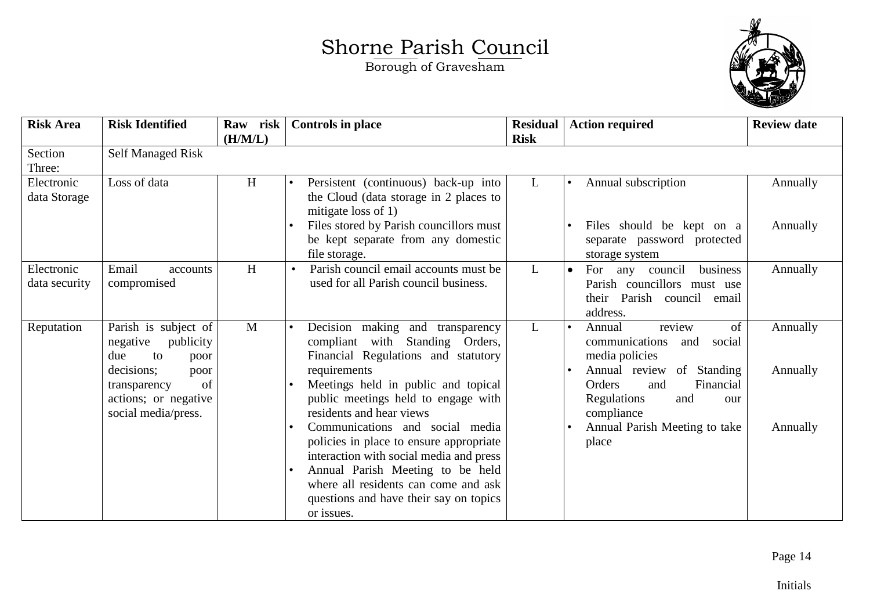

| <b>Risk Area</b>            | <b>Risk Identified</b>                                                                  | Raw risk<br>(H/M/L) | <b>Controls in place</b>                                                                                                                                                                                                                                               | <b>Residual</b><br><b>Risk</b> | <b>Action required</b>                                                                                                     | <b>Review date</b>   |
|-----------------------------|-----------------------------------------------------------------------------------------|---------------------|------------------------------------------------------------------------------------------------------------------------------------------------------------------------------------------------------------------------------------------------------------------------|--------------------------------|----------------------------------------------------------------------------------------------------------------------------|----------------------|
| Section<br>Three:           | <b>Self Managed Risk</b>                                                                |                     |                                                                                                                                                                                                                                                                        |                                |                                                                                                                            |                      |
| Electronic<br>data Storage  | Loss of data                                                                            | H                   | Persistent (continuous) back-up into<br>$\bullet$<br>the Cloud (data storage in 2 places to<br>mitigate loss of $1$ )<br>Files stored by Parish councillors must<br>be kept separate from any domestic<br>file storage.                                                | $\mathbf{L}$                   | Annual subscription<br>Files should be kept on a<br>separate password protected<br>storage system                          | Annually<br>Annually |
| Electronic<br>data security | Email<br>accounts<br>compromised                                                        | H                   | Parish council email accounts must be<br>used for all Parish council business.                                                                                                                                                                                         | $\mathbf{L}$                   | business<br>For<br>any council<br>$\bullet$<br>Parish councillors must use<br>Parish council<br>their<br>email<br>address. | Annually             |
| Reputation                  | Parish is subject of<br>negative<br>publicity<br>due<br>to<br>poor                      | $\mathbf{M}$        | Decision making and transparency<br>compliant with Standing Orders,<br>Financial Regulations and statutory                                                                                                                                                             | $\mathbf{L}$                   | review<br>of<br>Annual<br>communications<br>social<br>and<br>media policies                                                | Annually             |
|                             | decisions;<br>poor<br>of<br>transparency<br>actions; or negative<br>social media/press. |                     | requirements<br>Meetings held in public and topical<br>public meetings held to engage with<br>residents and hear views                                                                                                                                                 |                                | Annual review of Standing<br>Orders<br>Financial<br>and<br>Regulations<br>and<br>our<br>compliance                         | Annually             |
|                             |                                                                                         |                     | Communications and social media<br>policies in place to ensure appropriate<br>interaction with social media and press<br>Annual Parish Meeting to be held<br>$\bullet$<br>where all residents can come and ask<br>questions and have their say on topics<br>or issues. |                                | Annual Parish Meeting to take<br>place                                                                                     | Annually             |